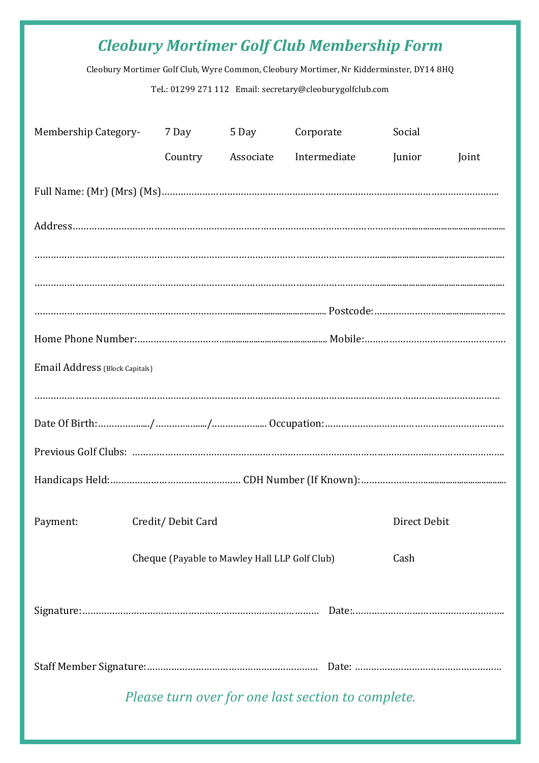# *Cleobury Mortimer Golf Club Membership Form*

Cleobury Mortimer Golf Club, Wyre Common, Cleobury Mortimer, Nr Kidderminster, DY14 8HQ

TeL: 01299 271 112 Email: secretary@cleoburygolfclub.com

| Membership Category-           |  | 7 Day             | 5 Day                                         | Corporate |  | Social       |       |  |
|--------------------------------|--|-------------------|-----------------------------------------------|-----------|--|--------------|-------|--|
|                                |  |                   | Country Associate Intermediate                |           |  | Junior       | Joint |  |
|                                |  |                   |                                               |           |  |              |       |  |
|                                |  |                   |                                               |           |  |              |       |  |
|                                |  |                   |                                               |           |  |              |       |  |
|                                |  |                   |                                               |           |  |              |       |  |
|                                |  |                   |                                               |           |  |              |       |  |
|                                |  |                   |                                               |           |  |              |       |  |
| Email Address (Block Capitals) |  |                   |                                               |           |  |              |       |  |
|                                |  |                   |                                               |           |  |              |       |  |
|                                |  |                   |                                               |           |  |              |       |  |
|                                |  |                   |                                               |           |  |              |       |  |
|                                |  |                   |                                               |           |  |              |       |  |
| Payment:                       |  | Credit/Debit Card |                                               |           |  | Direct Debit |       |  |
|                                |  |                   | Cheque (Payable to Mawley Hall LLP Golf Club) |           |  | Cash         |       |  |
|                                |  |                   |                                               |           |  |              |       |  |
|                                |  |                   |                                               |           |  |              |       |  |

*Please turn over for one last section to complete.*